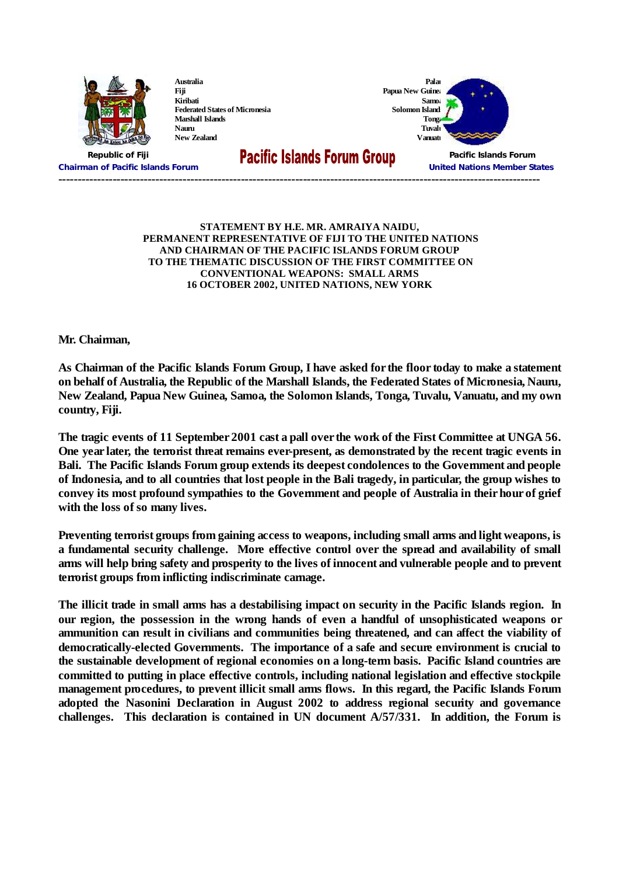

**Australia Fiji Kiribati Federated States of Micronesia Marshall Islands Nauru New Zealand**

**Solomon Island** 



**Chairman of Pacific Islands Forum United Nations Member States**

**Republic of Fiji Pacific Islands Forum**

## **----------------------------------------------------------------------------------------------------------------------------**

## **STATEMENT BY H.E. MR. AMRAIYA NAIDU, PERMANENT REPRESENTATIVE OF FIJI TO THE UNITED NATIONS AND CHAIRMAN OF THE PACIFIC ISLANDS FORUM GROUP TO THE THEMATIC DISCUSSION OF THE FIRST COMMITTEE ON CONVENTIONAL WEAPONS: SMALL ARMS 16 OCTOBER 2002, UNITED NATIONS, NEW YORK**

**Mr. Chairman,**

As Chairman of the Pacific Islands Forum Group, I have asked for the floor today to make a statement **on behalf of Australia, the Republic of the Marshall Islands, the Federated States of Micronesia, Nauru, New Zealand, Papua New Guinea, Samoa, the Solomon Islands, Tonga, Tuvalu, Vanuatu, and my own country, Fiji.**

The tragic events of 11 September 2001 cast a pall over the work of the First Committee at UNGA 56. **One year later, the terrorist threat remains ever-present, as demonstrated by the recent tragic events in Bali. The Pacific Islands Forum group extends its deepest condolences to the Government and people** of Indonesia, and to all countries that lost people in the Bali tragedy, in particular, the group wishes to **convey its most profound sympathies to the Government and people of Australia in their hour of grief with the loss of so many lives.**

**Preventing terrorist groups from gaining access to weapons, including small arms and light weapons, is a fundamental security challenge. More effective control over the spread and availability of small** arms will help bring safety and prosperity to the lives of innocent and vulnerable people and to prevent **terrorist groups from inflicting indiscriminate carnage.**

The illicit trade in small arms has a destabilising impact on security in the Pacific Islands region. In **our region, the possession in the wrong hands of even a handful of unsophisticated weapons or ammunition can result in civilians and communities being threatened, and can affect the viability of democratically-elected Governments. The importance of a safe and secure environment is crucial to the sustainable development of regional economies on a long-term basis. Pacific Island countries are committed to putting in place effective controls, including national legislation and effective stockpile management procedures, to prevent illicit small arms flows. In this regard, the Pacific Islands Forum adopted the Nasonini Declaration in August 2002 to address regional security and governance challenges. This declaration is contained in UN document A/57/331. In addition, the Forum is**